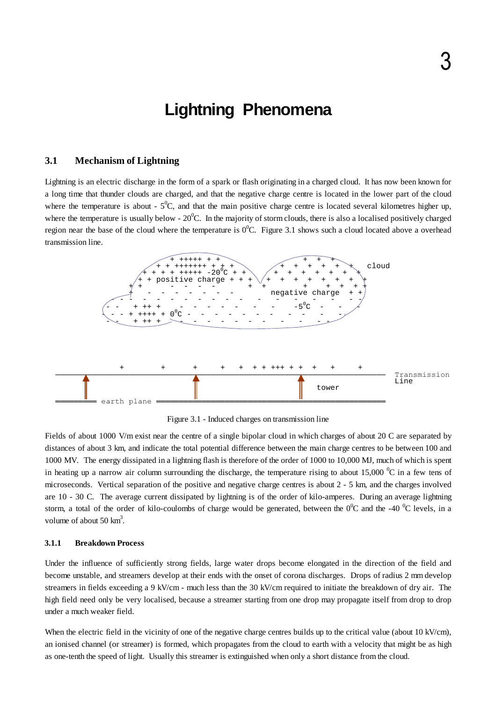# **Lightning Phenomena**

## **3.1 Mechanism of Lightning**

Lightning is an electric discharge in the form of a spark or flash originating in a charged cloud. It has now been known for a long time that thunder clouds are charged, and that the negative charge centre is located in the lower part of the cloud where the temperature is about -  $5^0C$ , and that the main positive charge centre is located several kilometres higher up, where the temperature is usually below -  $20^0$ C. In the majority of storm clouds, there is also a localised positively charged region near the base of the cloud where the temperature is  $0^0C$ . Figure 3.1 shows such a cloud located above a overhead transmission line.



Figure 3.1 - Induced charges on transmission line

Fields of about 1000 V/m exist near the centre of a single bipolar cloud in which charges of about 20 C are separated by distances of about 3 km, and indicate the total potential difference between the main charge centres to be between 100 and 1000 MV. The energy dissipated in a lightning flash is therefore of the order of 1000 to 10,000 MJ, much of which is spent in heating up a narrow air column surrounding the discharge, the temperature rising to about  $15,000\text{ °C}$  in a few tens of microseconds. Vertical separation of the positive and negative charge centres is about 2 - 5 km, and the charges involved are 10 - 30 C. The average current dissipated by lightning is of the order of kilo-amperes. During an average lightning storm, a total of the order of kilo-coulombs of charge would be generated, between the  $0^0C$  and the -40  $^0C$  levels, in a volume of about  $50 \text{ km}^3$ .

## **3.1.1 Breakdown Process**

Under the influence of sufficiently strong fields, large water drops become elongated in the direction of the field and become unstable, and streamers develop at their ends with the onset of corona discharges. Drops of radius 2 mm develop streamers in fields exceeding a 9 kV/cm - much less than the 30 kV/cm required to initiate the breakdown of dry air. The high field need only be very localised, because a streamer starting from one drop may propagate itself from drop to drop under a much weaker field.

When the electric field in the vicinity of one of the negative charge centres builds up to the critical value (about 10 kV/cm), an ionised channel (or streamer) is formed, which propagates from the cloud to earth with a velocity that might be as high as one-tenth the speed of light. Usually this streamer is extinguished when only a short distance from the cloud.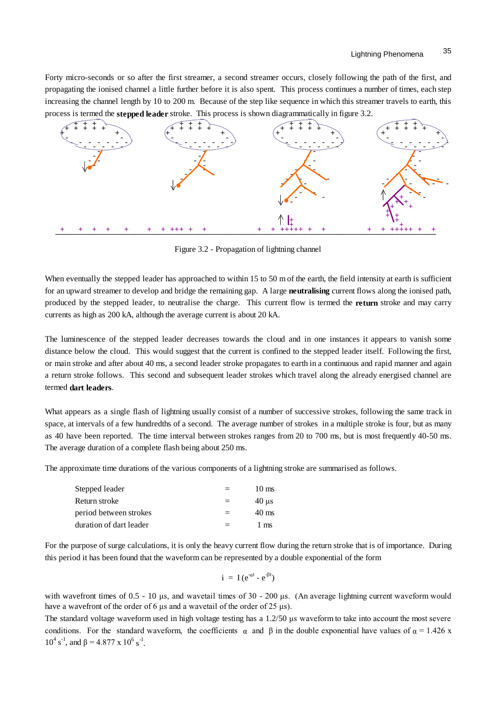Forty micro-seconds or so after the first streamer, a second streamer occurs, closely following the path of the first, and propagating the ionised channel a little further before it is also spent. This process continues a number of times, each step increasing the channel length by 10 to 200 m. Because of the step like sequence in which this streamer travels to earth, this process is termed the **stepped leader** stroke. This process is shown diagrammatically in figure 3.2.



Figure 3.2 - Propagation of lightning channel

When eventually the stepped leader has approached to within 15 to 50 m of the earth, the field intensity at earth is sufficient for an upward streamer to develop and bridge the remaining gap. A large **neutralising** current flows along the ionised path, produced by the stepped leader, to neutralise the charge. This current flow is termed the **return** stroke and may carry currents as high as 200 kA, although the average current is about 20 kA.

The luminescence of the stepped leader decreases towards the cloud and in one instances it appears to vanish some distance below the cloud. This would suggest that the current is confined to the stepped leader itself. Following the first, or main stroke and after about 40 ms, a second leader stroke propagates to earth in a continuous and rapid manner and again a return stroke follows. This second and subsequent leader strokes which travel along the already energised channel are termed **dart leaders**.

What appears as a single flash of lightning usually consist of a number of successive strokes, following the same track in space, at intervals of a few hundredths of a second. The average number of strokes in a multiple stroke is four, but as many as 40 have been reported. The time interval between strokes ranges from 20 to 700 ms, but is most frequently 40-50 ms. The average duration of a complete flash being about 250 ms.

The approximate time durations of the various components of a lightning stroke are summarised as follows.

| Stepped leader          |     | $10 \text{ ms}$          |
|-------------------------|-----|--------------------------|
| Return stroke           | $=$ | $40 \text{ }\mu\text{s}$ |
| period between strokes  |     | $40 \text{ ms}$          |
| duration of dart leader |     | ms                       |

For the purpose of surge calculations, it is only the heavy current flow during the return stroke that is of importance. During this period it has been found that the waveform can be represented by a double exponential of the form

$$
i = I(e^{-\alpha t} - e^{-\beta t})
$$

with wavefront times of  $0.5 - 10 \mu s$ , and wavetail times of  $30 - 200 \mu s$ . (An average lightning current waveform would have a wavefront of the order of 6  $\mu$ s and a wavetail of the order of 25  $\mu$ s).

The standard voltage waveform used in high voltage testing has a  $1.2/50$   $\mu$ s waveform to take into account the most severe conditions. For the standard waveform, the coefficients  $\alpha$  and  $\beta$  in the double exponential have values of  $\alpha$  = 1.426 x  $10^4$  s<sup>-1</sup>, and  $\beta = 4.877$  x  $10^6$  s<sup>-1</sup>.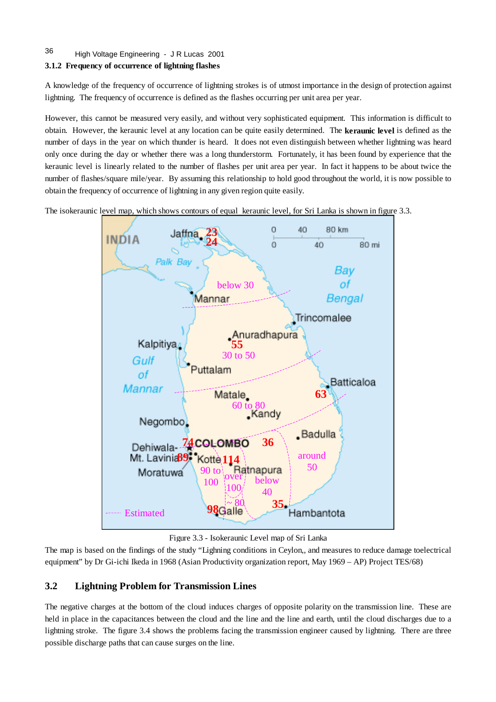## High Voltage Engineering - J R Lucas 2001 36 **3.1.2 Frequency of occurrence of lightning flashes**

A knowledge of the frequency of occurrence of lightning strokes is of utmost importance in the design of protection against lightning. The frequency of occurrence is defined as the flashes occurring per unit area per year.

However, this cannot be measured very easily, and without very sophisticated equipment. This information is difficult to obtain. However, the keraunic level at any location can be quite easily determined. The **keraunic level** is defined as the number of days in the year on which thunder is heard. It does not even distinguish between whether lightning was heard only once during the day or whether there was a long thunderstorm. Fortunately, it has been found by experience that the keraunic level is linearly related to the number of flashes per unit area per year. In fact it happens to be about twice the number of flashes/square mile/year. By assuming this relationship to hold good throughout the world, it is now possible to obtain the frequency of occurrence of lightning in any given region quite easily.

The isokeraunic level map, which shows contours of equal keraunic level, for Sri Lanka is shown in figure 3.3.



Figure 3.3 - Isokeraunic Level map of Sri Lanka

The map is based on the findings of the study "Lighning conditions in Ceylon,, and measures to reduce damage toelectrical equipment" by Dr Gi-ichi Ikeda in 1968 (Asian Productivity organization report, May 1969 – AP) Project TES/68)

# **3.2 Lightning Problem for Transmission Lines**

The negative charges at the bottom of the cloud induces charges of opposite polarity on the transmission line. These are held in place in the capacitances between the cloud and the line and the line and earth, until the cloud discharges due to a lightning stroke. The figure 3.4 shows the problems facing the transmission engineer caused by lightning. There are three possible discharge paths that can cause surges on the line.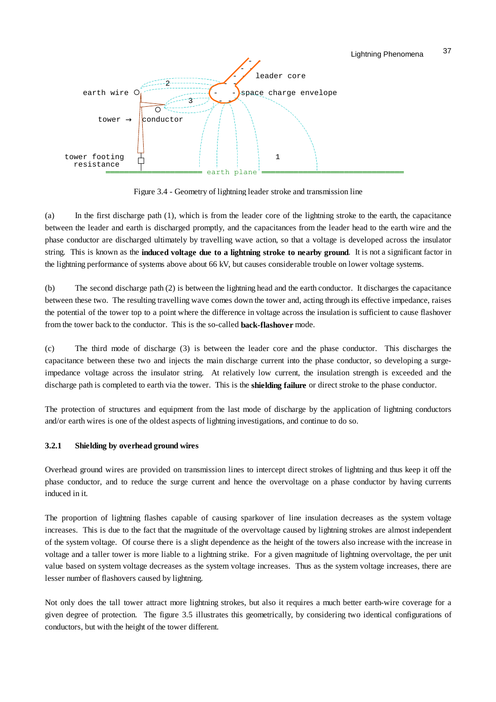

Figure 3.4 - Geometry of lightning leader stroke and transmission line

(a) In the first discharge path (1), which is from the leader core of the lightning stroke to the earth, the capacitance between the leader and earth is discharged promptly, and the capacitances from the leader head to the earth wire and the phase conductor are discharged ultimately by travelling wave action, so that a voltage is developed across the insulator string. This is known as the **induced voltage due to a lightning stroke to nearby ground**. It is not a significant factor in the lightning performance of systems above about 66 kV, but causes considerable trouble on lower voltage systems.

(b) The second discharge path (2) is between the lightning head and the earth conductor. It discharges the capacitance between these two. The resulting travelling wave comes down the tower and, acting through its effective impedance, raises the potential of the tower top to a point where the difference in voltage across the insulation is sufficient to cause flashover from the tower back to the conductor. This is the so-called **back-flashover** mode.

(c) The third mode of discharge (3) is between the leader core and the phase conductor. This discharges the capacitance between these two and injects the main discharge current into the phase conductor, so developing a surgeimpedance voltage across the insulator string. At relatively low current, the insulation strength is exceeded and the discharge path is completed to earth via the tower. This is the **shielding failure** or direct stroke to the phase conductor.

The protection of structures and equipment from the last mode of discharge by the application of lightning conductors and/or earth wires is one of the oldest aspects of lightning investigations, and continue to do so.

### **3.2.1 Shielding by overhead ground wires**

Overhead ground wires are provided on transmission lines to intercept direct strokes of lightning and thus keep it off the phase conductor, and to reduce the surge current and hence the overvoltage on a phase conductor by having currents induced in it.

The proportion of lightning flashes capable of causing sparkover of line insulation decreases as the system voltage increases. This is due to the fact that the magnitude of the overvoltage caused by lightning strokes are almost independent of the system voltage. Of course there is a slight dependence as the height of the towers also increase with the increase in voltage and a taller tower is more liable to a lightning strike. For a given magnitude of lightning overvoltage, the per unit value based on system voltage decreases as the system voltage increases. Thus as the system voltage increases, there are lesser number of flashovers caused by lightning.

Not only does the tall tower attract more lightning strokes, but also it requires a much better earth-wire coverage for a given degree of protection. The figure 3.5 illustrates this geometrically, by considering two identical configurations of conductors, but with the height of the tower different.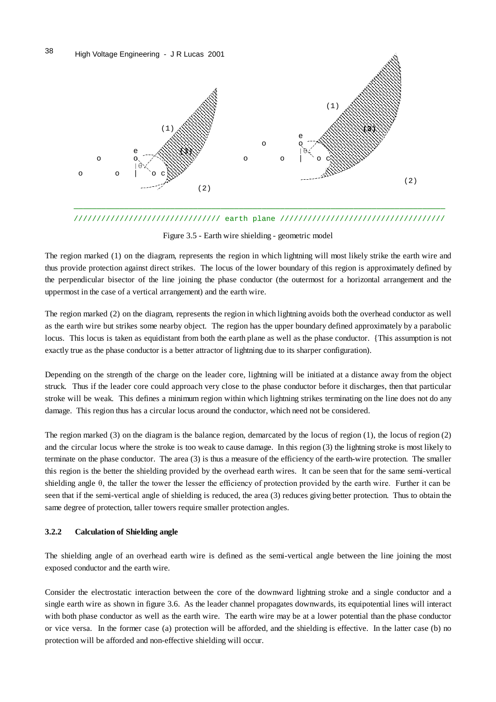

//////////////////////////////// earth plane ////////////////////////////////////

#### Figure 3.5 - Earth wire shielding - geometric model

The region marked (1) on the diagram, represents the region in which lightning will most likely strike the earth wire and thus provide protection against direct strikes. The locus of the lower boundary of this region is approximately defined by the perpendicular bisector of the line joining the phase conductor (the outermost for a horizontal arrangement and the uppermost in the case of a vertical arrangement) and the earth wire.

The region marked (2) on the diagram, represents the region in which lightning avoids both the overhead conductor as well as the earth wire but strikes some nearby object. The region has the upper boundary defined approximately by a parabolic locus. This locus is taken as equidistant from both the earth plane as well as the phase conductor. {This assumption is not exactly true as the phase conductor is a better attractor of lightning due to its sharper configuration).

Depending on the strength of the charge on the leader core, lightning will be initiated at a distance away from the object struck. Thus if the leader core could approach very close to the phase conductor before it discharges, then that particular stroke will be weak. This defines a minimum region within which lightning strikes terminating on the line does not do any damage. This region thus has a circular locus around the conductor, which need not be considered.

The region marked (3) on the diagram is the balance region, demarcated by the locus of region (1), the locus of region (2) and the circular locus where the stroke is too weak to cause damage. In this region (3) the lightning stroke is most likely to terminate on the phase conductor. The area (3) is thus a measure of the efficiency of the earth-wire protection. The smaller this region is the better the shielding provided by the overhead earth wires. It can be seen that for the same semi-vertical shielding angle  $\theta$ , the taller the tower the lesser the efficiency of protection provided by the earth wire. Further it can be seen that if the semi-vertical angle of shielding is reduced, the area (3) reduces giving better protection. Thus to obtain the same degree of protection, taller towers require smaller protection angles.

### **3.2.2 Calculation of Shielding angle**

The shielding angle of an overhead earth wire is defined as the semi-vertical angle between the line joining the most exposed conductor and the earth wire.

Consider the electrostatic interaction between the core of the downward lightning stroke and a single conductor and a single earth wire as shown in figure 3.6. As the leader channel propagates downwards, its equipotential lines will interact with both phase conductor as well as the earth wire. The earth wire may be at a lower potential than the phase conductor or vice versa. In the former case (a) protection will be afforded, and the shielding is effective. In the latter case (b) no protection will be afforded and non-effective shielding will occur.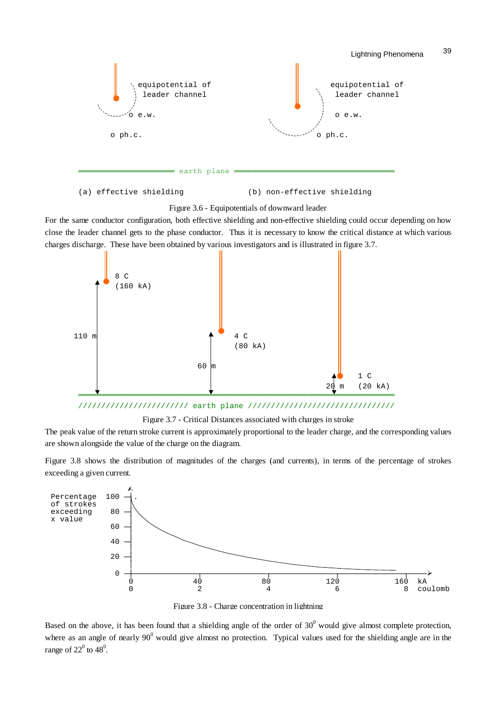



For the same conductor configuration, both effective shielding and non-effective shielding could occur depending on how close the leader channel gets to the phase conductor. Thus it is necessary to know the critical distance at which various charges discharge. These have been obtained by various investigators and is illustrated in figure 3.7.





Figure 3.7 - Critical Distances associated with charges in stroke

The peak value of the return stroke current is approximately proportional to the leader charge, and the corresponding values are shown alongside the value of the charge on the diagram.

Figure 3.8 shows the distribution of magnitudes of the charges (and currents), in terms of the percentage of strokes exceeding a given current.



Figure 3.8 - Charge concentration in lightning

Based on the above, it has been found that a shielding angle of the order of  $30^0$  would give almost complete protection, where as an angle of nearly  $90^{\circ}$  would give almost no protection. Typical values used for the shielding angle are in the range of 22 $\degree$  to 48 $\degree$ .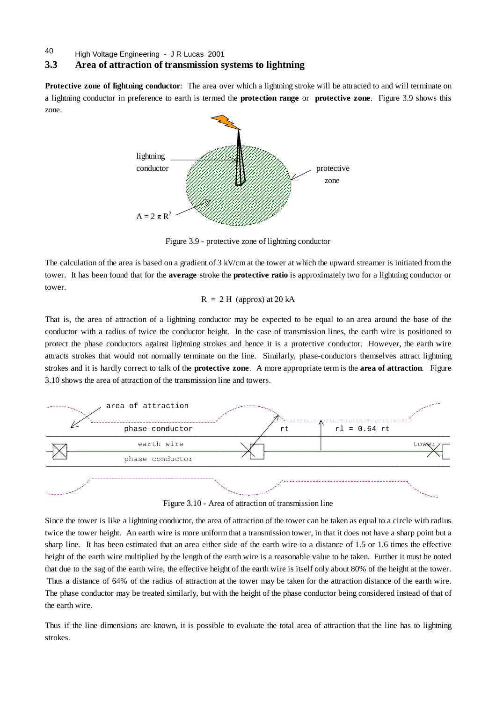40 High Voltage Engineering - J R Lucas 2001

## **3.3 Area of attraction of transmission systems to lightning**

**Protective zone of lightning conductor**: The area over which a lightning stroke will be attracted to and will terminate on a lightning conductor in preference to earth is termed the **protection range** or **protective zone**. Figure 3.9 shows this zone.



Figure 3.9 - protective zone of lightning conductor

The calculation of the area is based on a gradient of 3 kV/cm at the tower at which the upward streamer is initiated from the tower. It has been found that for the **average** stroke the **protective ratio** is approximately two for a lightning conductor or tower.

#### $R = 2H$  (approx) at 20 kA

That is, the area of attraction of a lightning conductor may be expected to be equal to an area around the base of the conductor with a radius of twice the conductor height. In the case of transmission lines, the earth wire is positioned to protect the phase conductors against lightning strokes and hence it is a protective conductor. However, the earth wire attracts strokes that would not normally terminate on the line. Similarly, phase-conductors themselves attract lightning strokes and it is hardly correct to talk of the **protective zone**. A more appropriate term is the **area of attraction**. Figure 3.10 shows the area of attraction of the transmission line and towers.



Figure 3.10 - Area of attraction of transmission line

Since the tower is like a lightning conductor, the area of attraction of the tower can be taken as equal to a circle with radius twice the tower height. An earth wire is more uniform that a transmission tower, in that it does not have a sharp point but a sharp line. It has been estimated that an area either side of the earth wire to a distance of 1.5 or 1.6 times the effective height of the earth wire multiplied by the length of the earth wire is a reasonable value to be taken. Further it must be noted that due to the sag of the earth wire, the effective height of the earth wire is itself only about 80% of the height at the tower. Thus a distance of 64% of the radius of attraction at the tower may be taken for the attraction distance of the earth wire. The phase conductor may be treated similarly, but with the height of the phase conductor being considered instead of that of the earth wire.

Thus if the line dimensions are known, it is possible to evaluate the total area of attraction that the line has to lightning strokes.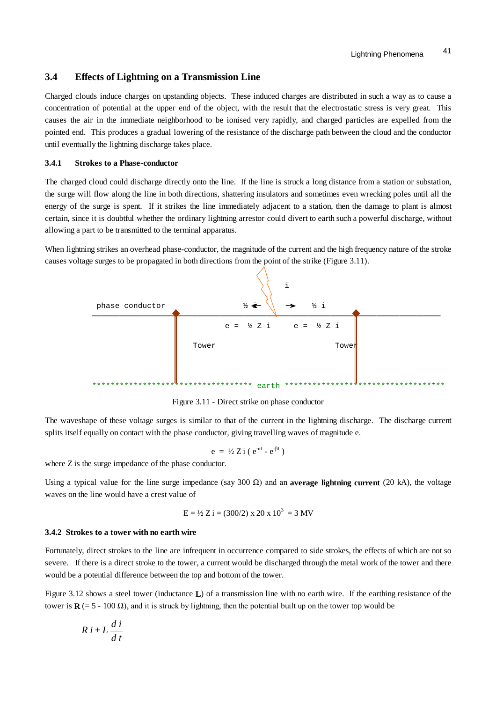## **3.4 Effects of Lightning on a Transmission Line**

Charged clouds induce charges on upstanding objects. These induced charges are distributed in such a way as to cause a concentration of potential at the upper end of the object, with the result that the electrostatic stress is very great. This causes the air in the immediate neighborhood to be ionised very rapidly, and charged particles are expelled from the pointed end. This produces a gradual lowering of the resistance of the discharge path between the cloud and the conductor until eventually the lightning discharge takes place.

#### **3.4.1 Strokes to a Phase-conductor**

The charged cloud could discharge directly onto the line. If the line is struck a long distance from a station or substation, the surge will flow along the line in both directions, shattering insulators and sometimes even wrecking poles until all the energy of the surge is spent. If it strikes the line immediately adjacent to a station, then the damage to plant is almost certain, since it is doubtful whether the ordinary lightning arrestor could divert to earth such a powerful discharge, without allowing a part to be transmitted to the terminal apparatus.

When lightning strikes an overhead phase-conductor, the magnitude of the current and the high frequency nature of the stroke causes voltage surges to be propagated in both directions from the point of the strike (Figure 3.11).



Figure 3.11 - Direct strike on phase conductor

The waveshape of these voltage surges is similar to that of the current in the lightning discharge. The discharge current splits itself equally on contact with the phase conductor, giving travelling waves of magnitude e.

$$
e = \frac{1}{2} Z i (e^{-\alpha t} - e^{-\beta t})
$$

where Z is the surge impedance of the phase conductor.

Using a typical value for the line surge impedance (say 300  $\Omega$ ) and an **average lightning current** (20 kA), the voltage waves on the line would have a crest value of

$$
E = \frac{1}{2} Z i = (300/2) x 20 x 10^3 = 3 MV
$$

#### **3.4.2 Strokes to a tower with no earth wire**

Fortunately, direct strokes to the line are infrequent in occurrence compared to side strokes, the effects of which are not so severe. If there is a direct stroke to the tower, a current would be discharged through the metal work of the tower and there would be a potential difference between the top and bottom of the tower.

Figure 3.12 shows a steel tower (inductance **L**) of a transmission line with no earth wire. If the earthing resistance of the tower is  $\mathbf{R} (= 5 - 100 \Omega)$ , and it is struck by lightning, then the potential built up on the tower top would be

$$
R\,i + L\,\frac{d\,i}{d\,t}
$$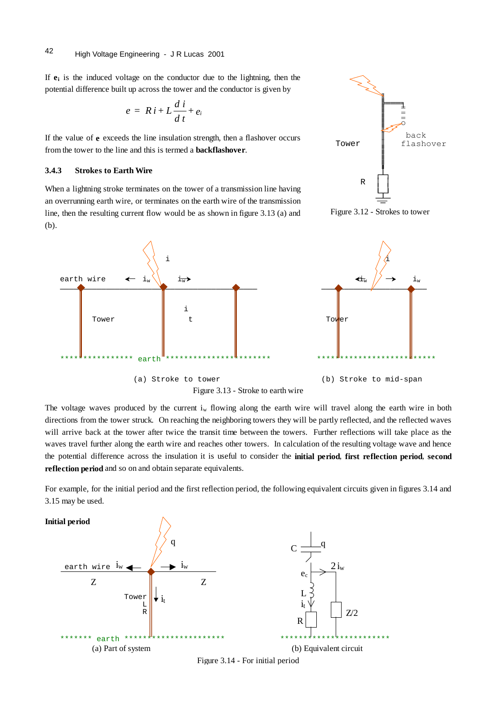If **ei** is the induced voltage on the conductor due to the lightning, then the potential difference built up across the tower and the conductor is given by

$$
e = Ri + L\frac{di}{dt} + e_i
$$

If the value of **e** exceeds the line insulation strength, then a flashover occurs from the tower to the line and this is termed a **backflashover**.

#### **3.4.3 Strokes to Earth Wire**

When a lightning stroke terminates on the tower of a transmission line having an overrunning earth wire, or terminates on the earth wire of the transmission line, then the resulting current flow would be as shown in figure 3.13 (a) and (b).



The voltage waves produced by the current  $i_w$  flowing along the earth wire will travel along the earth wire in both directions from the tower struck. On reaching the neighboring towers they will be partly reflected, and the reflected waves will arrive back at the tower after twice the transit time between the towers. Further reflections will take place as the waves travel further along the earth wire and reaches other towers. In calculation of the resulting voltage wave and hence the potential difference across the insulation it is useful to consider the **initial period**, **first reflection period**, **second reflection period** and so on and obtain separate equivalents.

For example, for the initial period and the first reflection period, the following equivalent circuits given in figures 3.14 and 3.15 may be used.



Figure 3.14 - For initial period



Figure 3.12 - Strokes to tower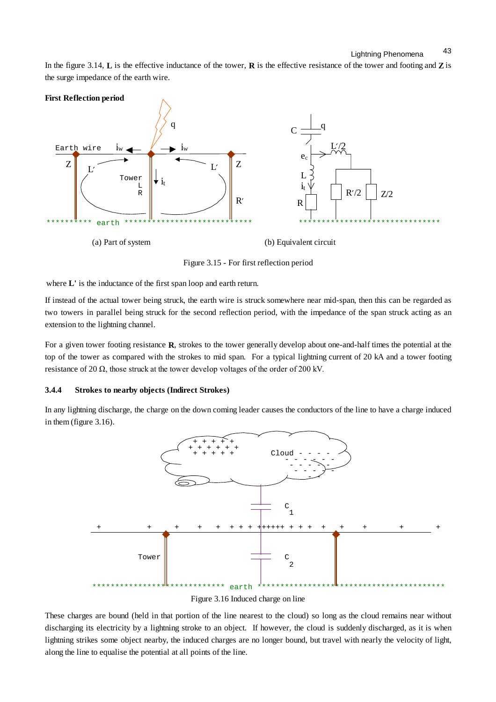In the figure 3.14, **L** is the effective inductance of the tower, **R** is the effective resistance of the tower and footing and **Z** is the surge impedance of the earth wire.



Figure 3.15 - For first reflection period

where **L'** is the inductance of the first span loop and earth return.

If instead of the actual tower being struck, the earth wire is struck somewhere near mid-span, then this can be regarded as two towers in parallel being struck for the second reflection period, with the impedance of the span struck acting as an extension to the lightning channel.

For a given tower footing resistance **R**, strokes to the tower generally develop about one-and-half times the potential at the top of the tower as compared with the strokes to mid span. For a typical lightning current of 20 kA and a tower footing resistance of 20  $\Omega$ , those struck at the tower develop voltages of the order of 200 kV.

#### **3.4.4 Strokes to nearby objects (Indirect Strokes)**

In any lightning discharge, the charge on the down coming leader causes the conductors of the line to have a charge induced in them (figure 3.16).



Figure 3.16 Induced charge on line

These charges are bound (held in that portion of the line nearest to the cloud) so long as the cloud remains near without discharging its electricity by a lightning stroke to an object. If however, the cloud is suddenly discharged, as it is when lightning strikes some object nearby, the induced charges are no longer bound, but travel with nearly the velocity of light, along the line to equalise the potential at all points of the line.